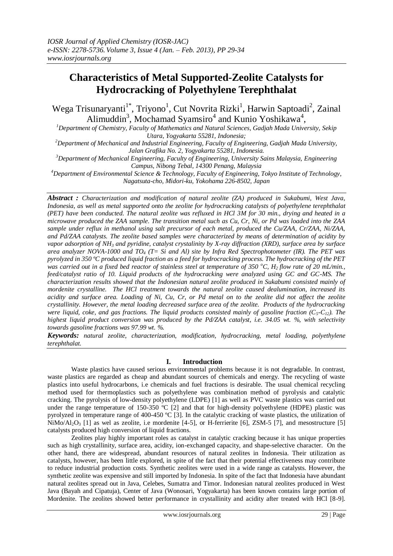# **Characteristics of Metal Supported-Zeolite Catalysts for Hydrocracking of Polyethylene Terephthalat**

Wega Trisunaryanti<sup>1\*</sup>, Triyono<sup>1</sup>, Cut Novrita Rizki<sup>1</sup>, Harwin Saptoadi<sup>2</sup>, Zainal Alimuddin<sup>3</sup>, Mochamad Syamsiro<sup>4</sup> and Kunio Yoshikawa<sup>4</sup>,

*<sup>1</sup>Department of Chemistry, Faculty of Mathematics and Natural Sciences, Gadjah Mada University, Sekip Utara, Yogyakarta 55281, Indonesia;*

*<sup>2</sup>Department of Mechanical and Industrial Engineering, Faculty of Engineering, Gadjah Mada University, Jalan Grafika No. 2, Yogyakarta 55281, Indonesia.*

*<sup>3</sup>Department of Mechanical Engineering, Faculty of Engineering, University Sains Malaysia, Engineering Campus, Nibong Tebal, 14300 Penang, Malaysia*

*<sup>4</sup>Department of Environmental Science & Technology, Faculty of Engineering, Tokyo Institute of Technology, Nagatsuta-cho, Midori-ku, Yokohama 226-8502, Japan*

*Abstract : Characterization and modification of natural zeolite (ZA) produced in Sukabumi, West Java, Indonesia, as well as metal supported onto the zeolite for hydrocracking catalysts of polyethylene terephthalat (PET) have been conducted. The natural zeolite was refluxed in HCl 3M for 30 min., drying and heated in a microwave produced the ZAA sample. The transition metal such as Cu, Cr, Ni, or Pd was loaded into the ZAA sample under reflux in methanol using salt precursor of each metal, produced the Cu/ZAA, Cr/ZAA, Ni/ZAA, and Pd/ZAA catalysts. The zeolite based samples were characterized by means of determination of acidity by vapor adsorption of NH<sup>3</sup> and pyridine, catalyst crystalinity by X-ray diffraction (XRD), surface area by surface area analyzer NOVA-1000 and TO<sup>4</sup> (T= Si and Al) site by Infra Red Spectrophotometer (IR). The PET was pyrolyzed in 350 ºC produced liquid fraction as a feed for hydrocracking process. The hydrocracking of the PET was carried out in a fixed bed reactor of stainless steel at temperature of 350 °C, H<sub>2</sub> <i>flow rate of 20 mL/min., feed/catalyst ratio of 10. Liquid products of the hydrocracking were analyzed using GC and GC-MS. The characterization results showed that the Indonesian natural zeolite produced in Sukabumi consisted mainly of mordenite crystalline. The HCl treatment towards the natural zeolite caused dealumination, increased its acidity and surface area. Loading of Ni, Cu, Cr, or Pd metal on to the zeolite did not affect the zeolite crystallinity. However, the metal loading decreased surface area of the zeolite. Products of the hydrocracking were liquid, coke, and gas fractions. The liquid products consisted mainly of gasoline fraction (C5-C12). The highest liquid product conversion was produced by the Pd/ZAA catalyst, i.e. 34.05 wt. %, with selectivity towards gasoline fractions was 97.99 wt. %.* 

*Keywords: natural zeolite, characterization, modification, hydrocracking, metal loading, polyethylene terephthalat.*

# **I. Introduction**

Waste plastics have caused serious environmental problems because it is not degradable. In contrast, waste plastics are regarded as cheap and abundant sources of chemicals and energy. The recycling of waste plastics into useful hydrocarbons, i.e chemicals and fuel fractions is desirable. The usual chemical recycling method used for thermoplastics such as polyethylene was combination method of pyrolysis and catalytic cracking. The pyrolysis of low-density polyethylene (LDPE) [1] as well as PVC waste plastics was carried out under the range temperature of 150-350 °C [2] and that for high-density polyethylene (HDPE) plastic was pyrolyzed in temperature range of 400-450 ºC [3]. In the catalytic cracking of waste plastics, the utilization of NiMo/Al<sub>2</sub>O<sub>3</sub> [1] as wel as zeolite, i.e mordenite [4-5], or H-ferrierite [6], ZSM-5 [7], and mesostructure [5] catalysts produced high conversion of liquid fractions.

Zeolites play highly important roles as catalyst in catalytic cracking because it has unique properties such as high crystallinity, surface area, acidity, ion-exchanged capacity, and shape-selective character. On the other hand, there are widespread, abundant resources of natural zeolites in Indonesia. Their utilization as catalysts, however, has been little explored, in spite of the fact that their potential effectiveness may contribute to reduce industrial production costs. Synthetic zeolites were used in a wide range as catalysts. However, the synthetic zeolite was expensive and still imported by Indonesia. In spite of the fact that Indonesia have abundant natural zeolites spread out in Java, Celebes, Sumatra and Timor. Indonesian natural zeolites produced in West Java (Bayah and Cipatuja), Center of Java (Wonosari, Yogyakarta) has been known contains large portion of Mordenite. The zeolites showed better performance in crystallinity and acidity after treated with HCl [8-9].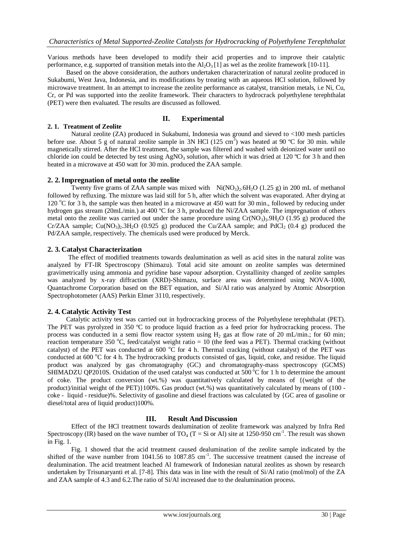Various methods have been developed to modify their acid properties and to improve their catalytic performance, e.g. supported of transition metals into the  $A<sub>1</sub>O<sub>3</sub>[1]$  as wel as the zeolite framework [10-11].

Based on the above consideration, the authors undertaken characterization of natural zeolite produced in Sukabumi, West Java, Indonesia, and its modifications by treating with an aqueous HCl solution, followed by microwave treatment. In an attempt to increase the zeolite performance as catalyst, transition metals, i.e Ni, Cu, Cr, or Pd was supported into the zeolite framework. Their characters to hydrocrack polyethylene terephthalat (PET) were then evaluated. The results are discussed as followed.

# **II. Experimental**

# **2. 1. Treatment of Zeolite**

Natural zeolite (ZA) produced in Sukabumi, Indonesia was ground and sieved to <100 mesh particles before use. About 5 g of natural zeolite sample in 3N HCl (125 cm<sup>3</sup>) was heated at 90 °C for 30 min. while magnetically stirred. After the HCl treatment, the sample was filtered and washed with deionized water until no chloride ion could be detected by test using AgNO<sub>3</sub> solution, after which it was dried at 120 °C for 3 h and then heated in a microwave at 450 watt for 30 min. produced the ZAA sample.

# **2. 2.Impregnation of metal onto the zeolite**

Twenty five grams of ZAA sample was mixed with  $Ni(NO<sub>3</sub>)<sub>2</sub>·6H<sub>2</sub>O$  (1.25 g) in 200 mL of methanol followed by refluxing. The mixture was laid still for 5 h, after which the solvent was evaporated. After drying at 120 °C for 3 h, the sample was then heated in a microwave at 450 watt for 30 min., followed by reducing under hydrogen gas stream (20mL/min.) at 400 °C for 3 h, produced the Ni/ZAA sample. The impregnation of others metal onto the zeolite was carried out under the same procedure using  $Cr(NO<sub>3</sub>)<sub>3</sub>·9H<sub>2</sub>O$  (1.95 g) produced the Cr/ZAA sample; Cu(NO<sub>3</sub>) $\cdot$ .3H $\cdot$ O (0.925 g) produced the Cu/ZAA sample; and PdCl $\cdot$  (0.4 g) produced the Pd/ZAA sample, respectively. The chemicals used were produced by Merck.

# **2. 3. Catalyst Characterization**

The effect of modified treatments towards dealumination as well as acid sites in the natural zolite was analyzed by FT-IR Spectroscopy (Shimazu). Total acid site amount on zeolite samples was determined gravimetrically using ammonia and pyridine base vapour adsorption. Crystallinity changed of zeolite samples was analyzed by x-ray diffraction (XRD)-Shimazu, surface area was determined using NOVA-1000, Quantachrome Corporation based on the BET equation, and Si/Al ratio was analyzed by Atomic Absorption Spectrophotometer (AAS) Perkin Elmer 3110, respectively.

# **2. 4. Catalytic Activity Test**

Catalytic activity test was carried out in hydrocracking process of the Polyethylene terephthalat (PET). The PET was pyrolyzed in 350 °C to produce liquid fraction as a feed prior for hydrocracking process. The process was conducted in a semi flow reactor system using  $H_2$  gas at flow rate of 20 mL/min.; for 60 min; reaction temperature 350 °C, feed/catalyst weight ratio =  $10$  (the feed was a PET). Thermal cracking (without catalyst) of the PET was conducted at 600  $^{\circ}$ C for 4 h. Thermal cracking (without catalyst) of the PET was conducted at 600 °C for 4 h. The hydrocracking products consisted of gas, liquid, coke, and residue. The liquid product was analyzed by gas chromatography (GC) and chromatography-mass spectroscopy (GCMS) SHIMADZU QP2010S. Oxidation of the used catalyst was conducted at  $500^{\circ}$ C for 1 h to determine the amount of coke. The product conversion (wt.%) was quantitatively calculated by means of {(weight of the product)/initial weight of the PET)}100%. Gas product (wt.%) was quantitatively calculated by means of (100 coke - liquid - residue)%. Selectivity of gasoline and diesel fractions was calculated by {GC area of gasoline or diesel/total area of liquid product)100%.

# **III. Result And Discussion**

Effect of the HCl treatment towards dealumination of zeolite framework was analyzed by Infra Red Spectroscopy (IR) based on the wave number of  $TO_4$  (T = Si or Al) site at 1250-950 cm<sup>-1</sup>. The result was shown in Fig. 1.

Fig. 1 showed that the acid treatment caused dealumination of the zeolite sample indicated by the shifted of the wave number from 1041.56 to 1087.85 cm<sup>-1</sup>. The successive treatment caused the increase of dealumination. The acid treatment leached Al framework of Indonesian natural zeolites as shown by research undertaken by Trisunaryanti et al. [7-8]. This data was in line with the result of Si/Al ratio (mol/mol) of the ZA and ZAA sample of 4.3 and 6.2.The ratio of Si/Al increased due to the dealumination process.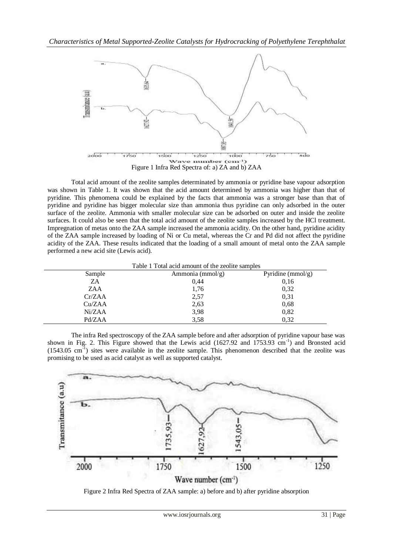

Total acid amount of the zeolite samples determinated by ammonia or pyridine base vapour adsorption was shown in Table 1. It was shown that the acid amount determined by ammonia was higher than that of pyridine. This phenomena could be explained by the facts that ammonia was a stronger base than that of pyridine and pyridine has bigger molecular size than ammonia thus pyridine can only adsorbed in the outer surface of the zeolite. Ammonia with smaller molecular size can be adsorbed on outer and inside the zeolite surfaces. It could also be seen that the total acid amount of the zeolite samples increased by the HCl treatment. Impregnation of metas onto the ZAA sample increased the ammonia acidity. On the other hand, pyridine acidity of the ZAA sample increased by loading of Ni or Cu metal, whereas the Cr and Pd did not affect the pyridine acidity of the ZAA. These results indicated that the loading of a small amount of metal onto the ZAA sample performed a new acid site (Lewis acid).

Table 1 Total acid amount of the zeolite samples

| Sample | Ammonia ( $mmol/g$ ) | Pyridine ( $mmol/g$ ) |
|--------|----------------------|-----------------------|
| ZA     | 0,44                 | 0,16                  |
| ZAA    | 1,76                 | 0,32                  |
| Cr/ZAA | 2,57                 | 0,31                  |
| Cu/ZAA | 2,63                 | 0,68                  |
| Ni/ZAA | 3,98                 | 0,82                  |
| Pd/ZAA | 3,58                 | 0.32                  |

The infra Red spectroscopy of the ZAA sample before and after adsorption of pyridine vapour base was shown in Fig. 2. This Figure showed that the Lewis acid (1627.92 and 1753.93 cm<sup>-1</sup>) and Bronsted acid (1543.05 cm<sup>-1</sup>) sites were available in the zeolite sample. This phenomenon described that the zeolite was promising to be used as acid catalyst as well as supported catalyst.



Figure 2 Infra Red Spectra of ZAA sample: a) before and b) after pyridine absorption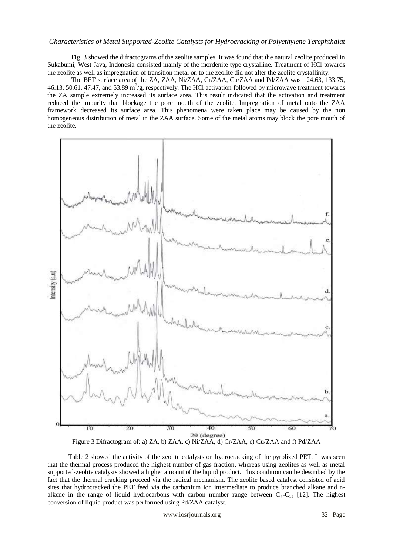# *Characteristics of Metal Supported-Zeolite Catalysts for Hydrocracking of Polyethylene Terephthalat*

Fig. 3 showed the difractograms of the zeolite samples. It was found that the natural zeolite produced in Sukabumi, West Java, Indonesia consisted mainly of the mordenite type crystalline. Treatment of HCl towards the zeolite as well as impregnation of transition metal on to the zeolite did not alter the zeolite crystallinity.

The BET surface area of the ZA, ZAA, Ni/ZAA, Cr/ZAA, Cu/ZAA and Pd/ZAA was 24.63, 133.75, 46.13, 50.61, 47.47, and 53.89  $m^2/g$ , respectively. The HCl activation followed by microwave treatment towards the ZA sample extremely increased its surface area. This result indicated that the activation and treatment reduced the impurity that blockage the pore mouth of the zeolite. Impregnation of metal onto the ZAA framework decreased its surface area. This phenomena were taken place may be caused by the non homogeneous distribution of metal in the ZAA surface. Some of the metal atoms may block the pore mouth of the zeolite.



Table 2 showed the activity of the zeolite catalysts on hydrocracking of the pyrolized PET. It was seen that the thermal process produced the highest number of gas fraction, whereas using zeolites as well as metal supported-zeolite catalysts showed a higher amount of the liquid product. This condition can be described by the fact that the thermal cracking proceed via the radical mechanism. The zeolite based catalyst consisted of acid sites that hydrocracked the PET feed via the carbonium ion intermediate to produce branched alkane and nalkene in the range of liquid hydrocarbons with carbon number range between  $C_7-C_{15}$  [12]. The highest conversion of liquid product was performed using Pd/ZAA catalyst.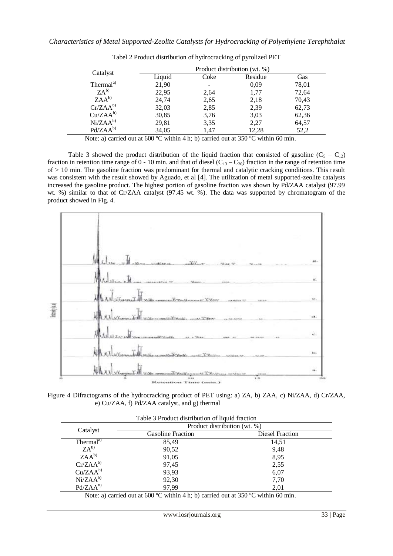| Catalyst              |        | Product distribution (wt. %) |         |       |  |
|-----------------------|--------|------------------------------|---------|-------|--|
|                       | Liquid | Coke                         | Residue | Gas   |  |
| Thermal <sup>a)</sup> | 21,90  |                              | 0,09    | 78,01 |  |
| $ZA^{b}$              | 22,95  | 2,64                         | 1,77    | 72,64 |  |
| $ZAA^{b}$             | 24,74  | 2,65                         | 2,18    | 70,43 |  |
| $Cr/ZAA^{b}$          | 32,03  | 2,85                         | 2,39    | 62,73 |  |
| $Cu/ZAA^{b}$          | 30,85  | 3,76                         | 3,03    | 62,36 |  |
| $Ni/ZAA^{b}$          | 29,81  | 3,35                         | 2,27    | 64,57 |  |
| $Pd/ZAA^{b}$          | 34,05  | 1.47                         | 12,28   | 52,2  |  |

Tabel 2 Product distribution of hydrocracking of pyrolized PET

Note: a) carried out at 600 °C within 4 h; b) carried out at 350 °C within 60 min.

Table 3 showed the product distribution of the liquid fraction that consisted of gasoline  $(C_5 - C_{12})$ fraction in retention time range of 0 - 10 min. and that of diesel  $(C_{13} - C_{20})$  fraction in the range of retention time of > 10 min. The gasoline fraction was predominant for thermal and catalytic cracking conditions. This result was consistent with the result showed by Aguado, et al [4]. The utilization of metal supported-zeolite catalysts increased the gasoline product. The highest portion of gasoline fraction was shown by Pd/ZAA catalyst (97.99 wt. %) similar to that of Cr/ZAA catalyst (97.45 wt. %). The data was supported by chromatogram of the product showed in Fig. 4.



Figure 4 Difractograms of the hydrocracking product of PET using: a) ZA, b) ZAA, c) Ni/ZAA, d) Cr/ZAA, e) Cu/ZAA, f) Pd/ZAA catalyst, and g) thermal

| Table 5 TToduct distribution of hydro machon |                              |                 |  |  |
|----------------------------------------------|------------------------------|-----------------|--|--|
| Catalyst                                     | Product distribution (wt. %) |                 |  |  |
|                                              | <b>Gasoline Fraction</b>     | Diesel Fraction |  |  |
| Thermal <sup>a)</sup>                        | 85,49                        | 14,51           |  |  |
| $ZA^{b}$                                     | 90,52                        | 9,48            |  |  |
| $ZAA^{b}$                                    | 91,05                        | 8,95            |  |  |
| $Cr/ZAA^{b}$                                 | 97,45                        | 2,55            |  |  |
| $Cu/ZAA^{b}$                                 | 93,93                        | 6,07            |  |  |
| $Ni/ZAA^{b}$                                 | 92,30                        | 7,70            |  |  |
| $Pd/ZAA^{b}$                                 | 97.99                        | 2,01            |  |  |
|                                              |                              |                 |  |  |

Table 3 Product distribution of liquid fraction

Note: a) carried out at 600 °C within 4 h; b) carried out at 350 °C within 60 min.